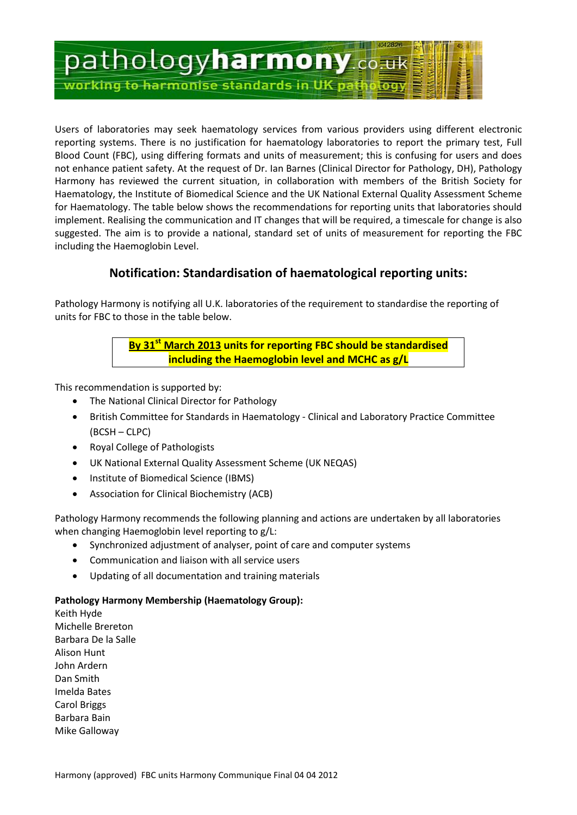

Users of laboratories may seek haematology services from various providers using different electronic reporting systems. There is no justification for haematology laboratories to report the primary test, Full Blood Count (FBC), using differing formats and units of measurement; this is confusing for users and does not enhance patient safety. At the request of Dr. Ian Barnes (Clinical Director for Pathology, DH), Pathology Harmony has reviewed the current situation, in collaboration with members of the British Society for Haematology, the Institute of Biomedical Science and the UK National External Quality Assessment Scheme for Haematology. The table below shows the recommendations for reporting units that laboratories should implement. Realising the communication and IT changes that will be required, a timescale for change is also suggested. The aim is to provide a national, standard set of units of measurement for reporting the FBC including the Haemoglobin Level.

## **Notification: Standardisation of haematological reporting units:**

Pathology Harmony is notifying all U.K. laboratories of the requirement to standardise the reporting of units for FBC to those in the table below.

> **By 31 st March 2013 units for reporting FBC should be standardised including the Haemoglobin level and MCHC as g/L**

This recommendation is supported by:

- The National Clinical Director for Pathology
- British Committee for Standards in Haematology Clinical and Laboratory Practice Committee (BCSH – CLPC)
- Royal College of Pathologists
- UK National External Quality Assessment Scheme (UK NEQAS)
- Institute of Biomedical Science (IBMS)
- Association for Clinical Biochemistry (ACB)

Pathology Harmony recommends the following planning and actions are undertaken by all laboratories when changing Haemoglobin level reporting to g/L:

- Synchronized adjustment of analyser, point of care and computer systems
- Communication and liaison with all service users
- Updating of all documentation and training materials

## **Pathology Harmony Membership (Haematology Group):**

Keith Hyde Michelle Brereton Barbara De la Salle Alison Hunt John Ardern Dan Smith Imelda Bates Carol Briggs Barbara Bain Mike Galloway